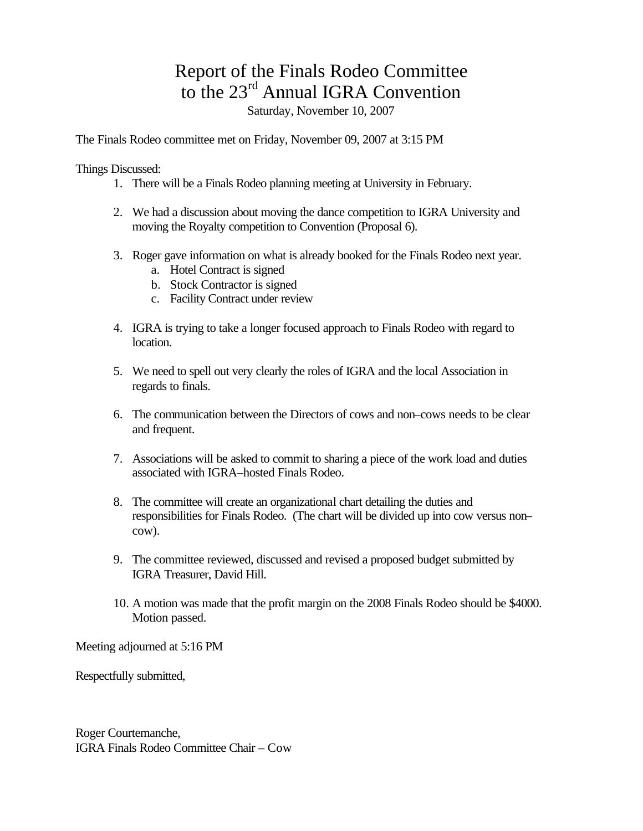## Report of the Finals Rodeo Committee to the 23<sup>rd</sup> Annual IGRA Convention

Saturday, November 10, 2007

The Finals Rodeo committee met on Friday, November 09, 2007 at 3:15 PM

Things Discussed:

- 1. There will be a Finals Rodeo planning meeting at University in February.
- 2. We had a discussion about moving the dance competition to IGRA University and moving the Royalty competition to Convention (Proposal 6).
- 3. Roger gave information on what is already booked for the Finals Rodeo next year. a. Hotel Contract is signed
	- b. Stock Contractor is signed
	- c. Facility Contract under review
- 4. IGRA is trying to take a longer focused approach to Finals Rodeo with regard to location.
- 5. We need to spell out very clearly the roles of IGRA and the local Association in regards to finals.
- 6. The communication between the Directors of cows and non–cows needs to be clear and frequent.
- 7. Associations will be asked to commit to sharing a piece of the work load and duties associated with IGRA–hosted Finals Rodeo.
- 8. The committee will create an organizational chart detailing the duties and responsibilities for Finals Rodeo. (The chart will be divided up into cow versus non– cow).
- 9. The committee reviewed, discussed and revised a proposed budget submitted by IGRA Treasurer, David Hill.
- 10. A motion was made that the profit margin on the 2008 Finals Rodeo should be \$4000. Motion passed.

Meeting adjourned at 5:16 PM

Respectfully submitted,

Roger Courtemanche, IGRA Finals Rodeo Committee Chair – Cow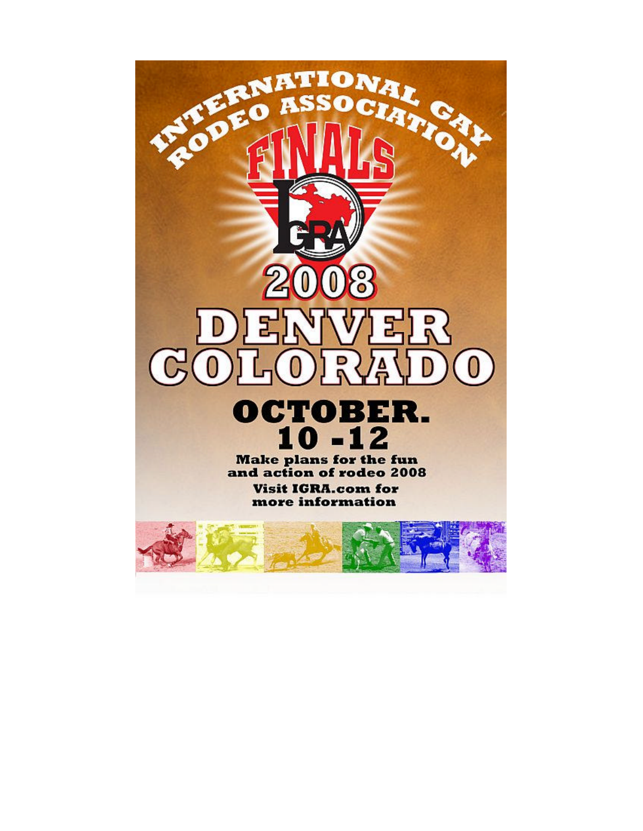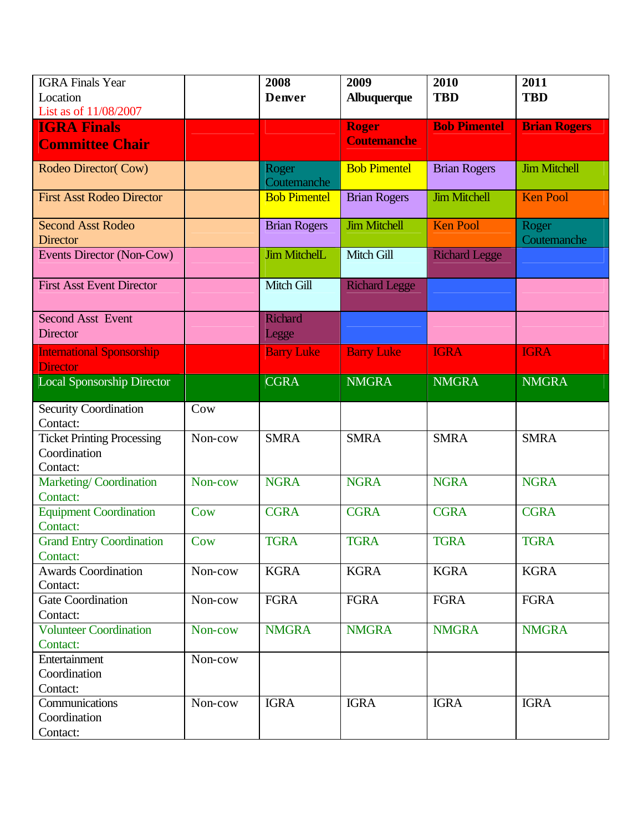| <b>IGRA</b> Finals Year                     |         | 2008                    | 2009                               | 2010                 | 2011                 |
|---------------------------------------------|---------|-------------------------|------------------------------------|----------------------|----------------------|
| Location                                    |         | <b>Denver</b>           | <b>Albuquerque</b>                 | <b>TBD</b>           | <b>TBD</b>           |
| List as of 11/08/2007                       |         |                         |                                    |                      |                      |
| <b>IGRA Finals</b>                          |         |                         | <b>Roger</b><br><b>Coutemanche</b> | <b>Bob Pimentel</b>  | <b>Brian Rogers</b>  |
| <b>Committee Chair</b>                      |         |                         |                                    |                      |                      |
| Rodeo Director(Cow)                         |         | Roger<br>Coutemanche    | <b>Bob Pimentel</b>                | <b>Brian Rogers</b>  | <b>Jim Mitchell</b>  |
| <b>First Asst Rodeo Director</b>            |         | <b>Bob Pimentel</b>     | <b>Brian Rogers</b>                | <b>Jim Mitchell</b>  | <b>Ken Pool</b>      |
| <b>Second Asst Rodeo</b><br><b>Director</b> |         | <b>Brian Rogers</b>     | <b>Jim Mitchell</b>                | <b>Ken Pool</b>      | Roger<br>Coutemanche |
| Events Director (Non-Cow)                   |         | <b>Jim MitchelL</b>     | Mitch Gill                         | <b>Richard Legge</b> |                      |
| <b>First Asst Event Director</b>            |         | Mitch Gill              | <b>Richard Legge</b>               |                      |                      |
| <b>Second Asst Event</b><br><b>Director</b> |         | <b>Richard</b><br>Legge |                                    |                      |                      |
| <b>International Sponsorship</b>            |         | <b>Barry Luke</b>       | <b>Barry Luke</b>                  | <b>IGRA</b>          | <b>IGRA</b>          |
| <b>Director</b>                             |         |                         |                                    |                      |                      |
| <b>Local Sponsorship Director</b>           |         | <b>CGRA</b>             | <b>NMGRA</b>                       | <b>NMGRA</b>         | <b>NMGRA</b>         |
| <b>Security Coordination</b><br>Contact:    | Cow     |                         |                                    |                      |                      |
| <b>Ticket Printing Processing</b>           | Non-cow | <b>SMRA</b>             | <b>SMRA</b>                        | <b>SMRA</b>          | <b>SMRA</b>          |
| Coordination                                |         |                         |                                    |                      |                      |
| Contact:                                    |         |                         |                                    |                      |                      |
| Marketing/Coordination<br>Contact:          | Non-cow | <b>NGRA</b>             | <b>NGRA</b>                        | <b>NGRA</b>          | <b>NGRA</b>          |
| <b>Equipment Coordination</b>               | Cow     | <b>CGRA</b>             | <b>CGRA</b>                        | <b>CGRA</b>          | <b>CGRA</b>          |
| Contact:                                    |         |                         |                                    |                      |                      |
| <b>Grand Entry Coordination</b>             | Cow     | <b>TGRA</b>             | <b>TGRA</b>                        | <b>TGRA</b>          | <b>TGRA</b>          |
| Contact:                                    |         |                         |                                    |                      |                      |
| <b>Awards Coordination</b>                  | Non-cow | <b>KGRA</b>             | <b>KGRA</b>                        | <b>KGRA</b>          | <b>KGRA</b>          |
| Contact:                                    |         |                         |                                    |                      |                      |
| <b>Gate Coordination</b>                    | Non-cow | <b>FGRA</b>             | <b>FGRA</b>                        | <b>FGRA</b>          | <b>FGRA</b>          |
| Contact:                                    |         |                         |                                    |                      |                      |
| <b>Volunteer Coordination</b>               | Non-cow | <b>NMGRA</b>            | <b>NMGRA</b>                       | <b>NMGRA</b>         | <b>NMGRA</b>         |
| Contact:<br>Entertainment                   | Non-cow |                         |                                    |                      |                      |
| Coordination                                |         |                         |                                    |                      |                      |
| Contact:                                    |         |                         |                                    |                      |                      |
| Communications                              | Non-cow | <b>IGRA</b>             | <b>IGRA</b>                        | <b>IGRA</b>          | <b>IGRA</b>          |
| Coordination                                |         |                         |                                    |                      |                      |
| Contact:                                    |         |                         |                                    |                      |                      |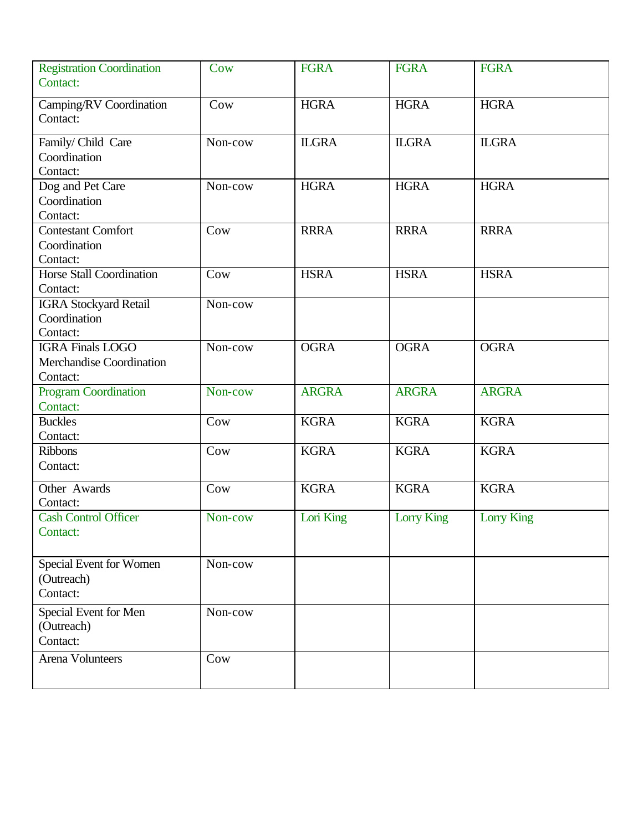| <b>Registration Coordination</b><br>Contact:                    | Cow     | <b>FGRA</b>  | <b>FGRA</b>       | <b>FGRA</b>       |
|-----------------------------------------------------------------|---------|--------------|-------------------|-------------------|
| Camping/RV Coordination<br>Contact:                             | Cow     | <b>HGRA</b>  | <b>HGRA</b>       | <b>HGRA</b>       |
| Family/Child Care<br>Coordination<br>Contact:                   | Non-cow | <b>ILGRA</b> | <b>ILGRA</b>      | <b>ILGRA</b>      |
| Dog and Pet Care<br>Coordination<br>Contact:                    | Non-cow | <b>HGRA</b>  | <b>HGRA</b>       | <b>HGRA</b>       |
| <b>Contestant Comfort</b><br>Coordination<br>Contact:           | Cow     | <b>RRRA</b>  | <b>RRRA</b>       | <b>RRRA</b>       |
| Horse Stall Coordination<br>Contact:                            | Cow     | <b>HSRA</b>  | <b>HSRA</b>       | <b>HSRA</b>       |
| <b>IGRA Stockyard Retail</b><br>Coordination<br>Contact:        | Non-cow |              |                   |                   |
| <b>IGRA Finals LOGO</b><br>Merchandise Coordination<br>Contact: | Non-cow | <b>OGRA</b>  | <b>OGRA</b>       | <b>OGRA</b>       |
| <b>Program Coordination</b><br>Contact:                         | Non-cow | <b>ARGRA</b> | <b>ARGRA</b>      | <b>ARGRA</b>      |
| <b>Buckles</b><br>Contact:                                      | Cow     | <b>KGRA</b>  | <b>KGRA</b>       | <b>KGRA</b>       |
| <b>Ribbons</b><br>Contact:                                      | Cow     | <b>KGRA</b>  | <b>KGRA</b>       | <b>KGRA</b>       |
| Other Awards<br>Contact:                                        | Cow     | <b>KGRA</b>  | <b>KGRA</b>       | <b>KGRA</b>       |
| <b>Cash Control Officer</b><br>Contact:                         | Non-cow | Lori King    | <b>Lorry King</b> | <b>Lorry King</b> |
| Special Event for Women<br>(Outreach)<br>Contact:               | Non-cow |              |                   |                   |
| Special Event for Men<br>(Outreach)<br>Contact:                 | Non-cow |              |                   |                   |
| <b>Arena Volunteers</b>                                         | Cow     |              |                   |                   |